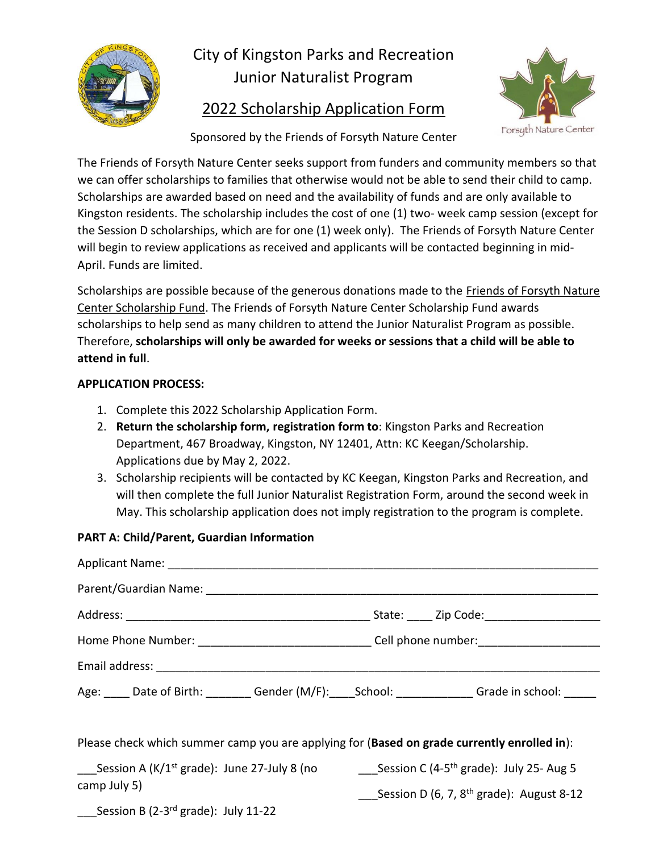

# City of Kingston Parks and Recreation Junior Naturalist Program

## 2022 Scholarship Application Form



Sponsored by the Friends of Forsyth Nature Center

The Friends of Forsyth Nature Center seeks support from funders and community members so that we can offer scholarships to families that otherwise would not be able to send their child to camp. Scholarships are awarded based on need and the availability of funds and are only available to Kingston residents. The scholarship includes the cost of one (1) two- week camp session (except for the Session D scholarships, which are for one (1) week only). The Friends of Forsyth Nature Center will begin to review applications as received and applicants will be contacted beginning in mid-April. Funds are limited.

Scholarships are possible because of the generous donations made to the Friends of Forsyth Nature Center Scholarship Fund. The Friends of Forsyth Nature Center Scholarship Fund awards scholarships to help send as many children to attend the Junior Naturalist Program as possible. Therefore, **scholarships will only be awarded for weeks or sessions that a child will be able to attend in full**.

### **APPLICATION PROCESS:**

- 1. Complete this 2022 Scholarship Application Form.
- 2. **Return the scholarship form, registration form to**: Kingston Parks and Recreation Department, 467 Broadway, Kingston, NY 12401, Attn: KC Keegan/Scholarship. Applications due by May 2, 2022.
- 3. Scholarship recipients will be contacted by KC Keegan, Kingston Parks and Recreation, and will then complete the full Junior Naturalist Registration Form, around the second week in May. This scholarship application does not imply registration to the program is complete.

### **PART A: Child/Parent, Guardian Information**

| Home Phone Number: ________________________________Cell phone number: ______________________________              |                                            |  |  |
|-------------------------------------------------------------------------------------------------------------------|--------------------------------------------|--|--|
|                                                                                                                   |                                            |  |  |
| Age: _____ Date of Birth: ________ Gender (M/F): ____ School: _____________ Grade in school: ______               |                                            |  |  |
| Please check which summer camp you are applying for (Based on grade currently enrolled in):                       |                                            |  |  |
| <b>Session A (K/1<sup>st</sup> grade):</b> June 27-July 8 (no Session C (4-5 <sup>th</sup> grade): July 25- Aug 5 |                                            |  |  |
| camp July 5)                                                                                                      | Session D (6, 7, $8th$ grade): August 8-12 |  |  |
| $\frac{1}{2}$ Session B (2-3 <sup>rd</sup> grade): July 11-22                                                     |                                            |  |  |